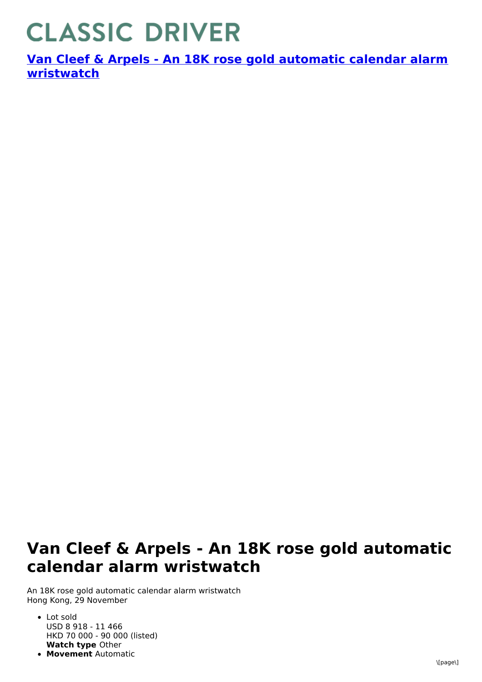## **CLASSIC DRIVER**

**Van Cleef & Arpels - An 18K rose gold automatic calendar alarm [wristwatch](https://www.classicdriver.com/en/watch/van-cleef-arpels/266866)**

## **Van Cleef & Arpels - An 18K rose gold automatic calendar alarm wristwatch**

An 18K rose gold automatic calendar alarm wristwatch Hong Kong, 29 November

- **Watch type** Other Lot sold USD 8 918 - 11 466 HKD 70 000 - 90 000 (listed)
- **Movement** Automatic